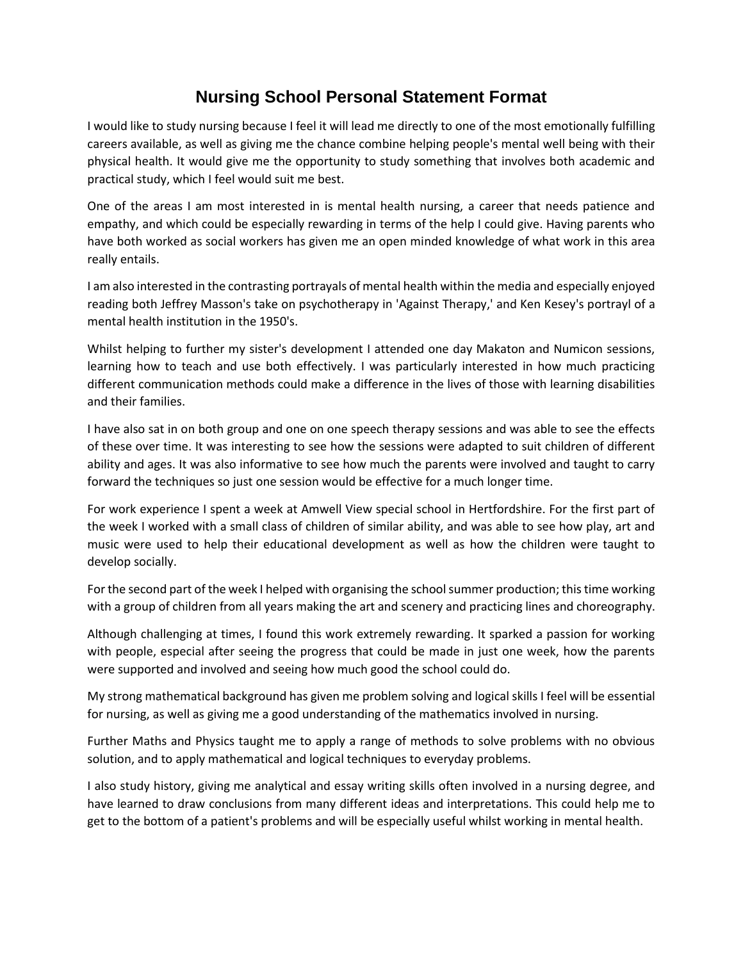## **Nursing School Personal Statement Format**

I would like to study nursing because I feel it will lead me directly to one of the most emotionally fulfilling careers available, as well as giving me the chance combine helping people's mental well being with their physical health. It would give me the opportunity to study something that involves both academic and practical study, which I feel would suit me best.

One of the areas I am most interested in is mental health nursing, a career that needs patience and empathy, and which could be especially rewarding in terms of the help I could give. Having parents who have both worked as social workers has given me an open minded knowledge of what work in this area really entails.

I am also interested in the contrasting portrayals of mental health within the media and especially enjoyed reading both Jeffrey Masson's take on psychotherapy in 'Against Therapy,' and Ken Kesey's portrayl of a mental health institution in the 1950's.

Whilst helping to further my sister's development I attended one day Makaton and Numicon sessions, learning how to teach and use both effectively. I was particularly interested in how much practicing different communication methods could make a difference in the lives of those with learning disabilities and their families.

I have also sat in on both group and one on one speech therapy sessions and was able to see the effects of these over time. It was interesting to see how the sessions were adapted to suit children of different ability and ages. It was also informative to see how much the parents were involved and taught to carry forward the techniques so just one session would be effective for a much longer time.

For work experience I spent a week at Amwell View special school in Hertfordshire. For the first part of the week I worked with a small class of children of similar ability, and was able to see how play, art and music were used to help their educational development as well as how the children were taught to develop socially.

For the second part of the week I helped with organising the school summer production; this time working with a group of children from all years making the art and scenery and practicing lines and choreography.

Although challenging at times, I found this work extremely rewarding. It sparked a passion for working with people, especial after seeing the progress that could be made in just one week, how the parents were supported and involved and seeing how much good the school could do.

My strong mathematical background has given me problem solving and logical skills I feel will be essential for nursing, as well as giving me a good understanding of the mathematics involved in nursing.

Further Maths and Physics taught me to apply a range of methods to solve problems with no obvious solution, and to apply mathematical and logical techniques to everyday problems.

I also study history, giving me analytical and essay writing skills often involved in a nursing degree, and have learned to draw conclusions from many different ideas and interpretations. This could help me to get to the bottom of a patient's problems and will be especially useful whilst working in mental health.